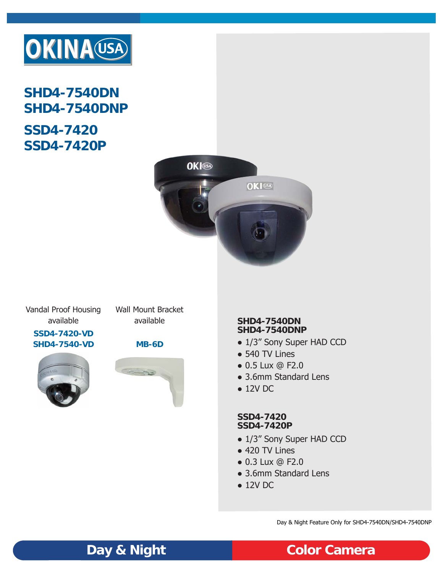

**SHD4-7540DN SHD4-7540DNP**

# **SSD4-7420 SSD4-7420P**



Vandal Proof Housing available

Wall Mount Bracket available

**SSD4-7420-VD SHD4-7540-VD MB-6D**







### **SHD4-7540DN SHD4-7540DNP**

- 1/3" Sony Super HAD CCD
- 540 TV Lines
- 0.5 Lux @ F2.0
- 3.6mm Standard Lens
- 12V DC

## **SSD4-7420 SSD4-7420P**

- 1/3" Sony Super HAD CCD
- 420 TV Lines
- 0.3 Lux @ F2.0
- 3.6mm Standard Lens
- $\bullet$  12V DC

Day & Night Feature Only for SHD4-7540DN/SHD4-7540DNP

**Day & Night Color Camera**